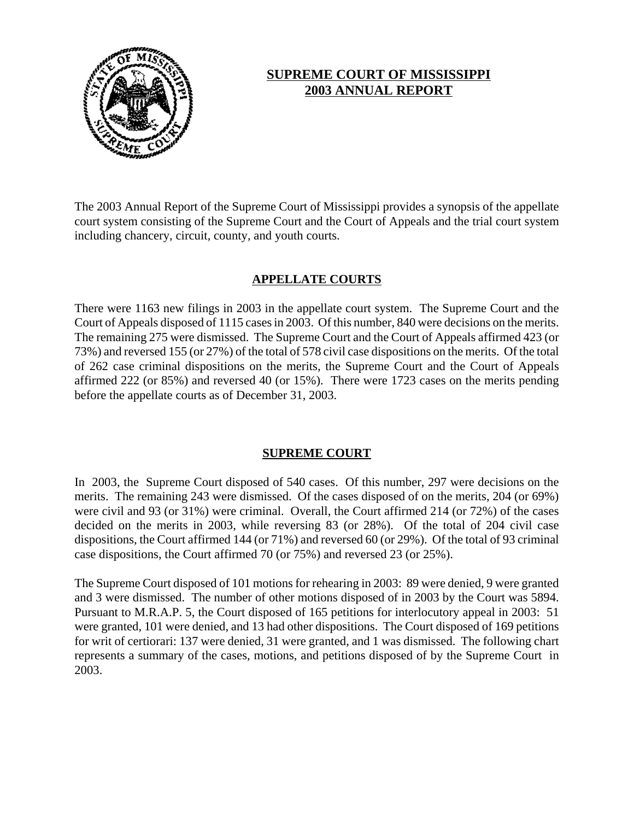

# **SUPREME COURT OF MISSISSIPPI 2003 ANNUAL REPORT**

The 2003 Annual Report of the Supreme Court of Mississippi provides a synopsis of the appellate court system consisting of the Supreme Court and the Court of Appeals and the trial court system including chancery, circuit, county, and youth courts.

# **APPELLATE COURTS**

There were 1163 new filings in 2003 in the appellate court system. The Supreme Court and the Court of Appeals disposed of 1115 cases in 2003. Of this number, 840 were decisions on the merits. The remaining 275 were dismissed. The Supreme Court and the Court of Appeals affirmed 423 (or 73%) and reversed 155 (or 27%) of the total of 578 civil case dispositions on the merits. Of the total of 262 case criminal dispositions on the merits, the Supreme Court and the Court of Appeals affirmed 222 (or 85%) and reversed 40 (or 15%). There were 1723 cases on the merits pending before the appellate courts as of December 31, 2003.

# **SUPREME COURT**

In 2003, the Supreme Court disposed of 540 cases. Of this number, 297 were decisions on the merits. The remaining 243 were dismissed. Of the cases disposed of on the merits, 204 (or 69%) were civil and 93 (or 31%) were criminal. Overall, the Court affirmed 214 (or 72%) of the cases decided on the merits in 2003, while reversing 83 (or 28%). Of the total of 204 civil case dispositions, the Court affirmed 144 (or 71%) and reversed 60 (or 29%). Of the total of 93 criminal case dispositions, the Court affirmed 70 (or 75%) and reversed 23 (or 25%).

The Supreme Court disposed of 101 motions for rehearing in 2003: 89 were denied, 9 were granted and 3 were dismissed. The number of other motions disposed of in 2003 by the Court was 5894. Pursuant to M.R.A.P. 5, the Court disposed of 165 petitions for interlocutory appeal in 2003: 51 were granted, 101 were denied, and 13 had other dispositions. The Court disposed of 169 petitions for writ of certiorari: 137 were denied, 31 were granted, and 1 was dismissed. The following chart represents a summary of the cases, motions, and petitions disposed of by the Supreme Court in 2003.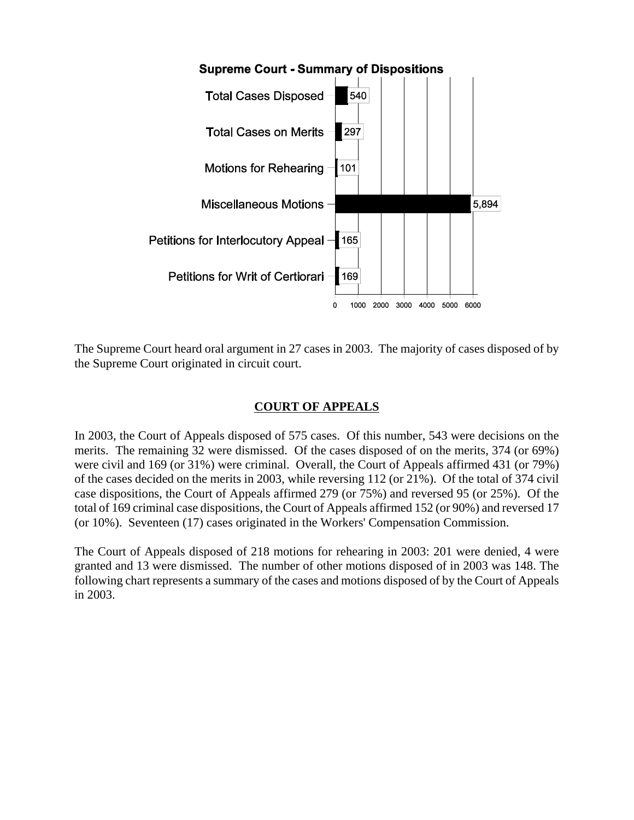

The Supreme Court heard oral argument in 27 cases in 2003. The majority of cases disposed of by the Supreme Court originated in circuit court.

# **COURT OF APPEALS**

In 2003, the Court of Appeals disposed of 575 cases. Of this number, 543 were decisions on the merits. The remaining 32 were dismissed. Of the cases disposed of on the merits, 374 (or 69%) were civil and 169 (or 31%) were criminal. Overall, the Court of Appeals affirmed 431 (or 79%) of the cases decided on the merits in 2003, while reversing 112 (or 21%). Of the total of 374 civil case dispositions, the Court of Appeals affirmed 279 (or 75%) and reversed 95 (or 25%). Of the total of 169 criminal case dispositions, the Court of Appeals affirmed 152 (or 90%) and reversed 17 (or 10%). Seventeen (17) cases originated in the Workers' Compensation Commission.

The Court of Appeals disposed of 218 motions for rehearing in 2003: 201 were denied, 4 were granted and 13 were dismissed. The number of other motions disposed of in 2003 was 148. The following chart represents a summary of the cases and motions disposed of by the Court of Appeals in 2003.